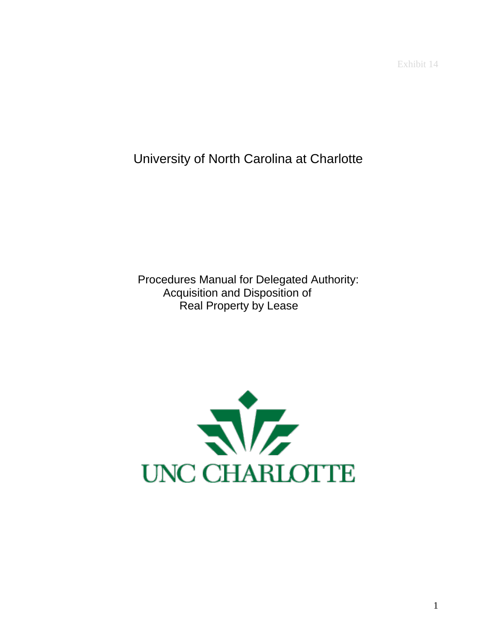Exhibit 14

University of North Carolina at Charlotte

Procedures Manual for Delegated Authority: Acquisition and Disposition of Real Property by Lease

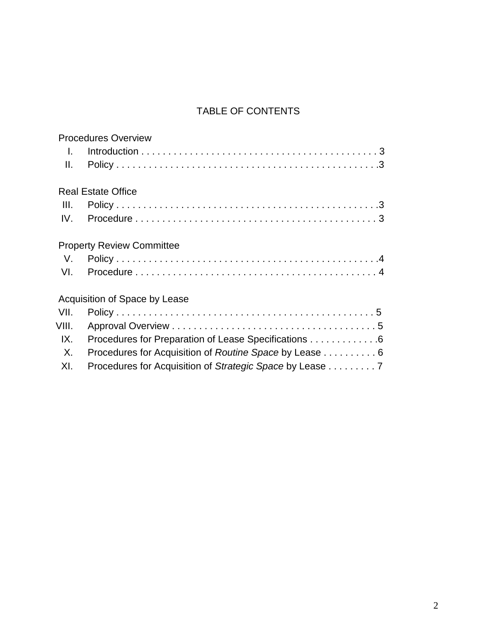# TABLE OF CONTENTS

|         | <b>Procedures Overview</b>                               |
|---------|----------------------------------------------------------|
| $\perp$ |                                                          |
| Ⅱ.      |                                                          |
|         | <b>Real Estate Office</b>                                |
| III.    |                                                          |
|         |                                                          |
|         | <b>Property Review Committee</b>                         |
| V.      |                                                          |
|         |                                                          |
|         | Acquisition of Space by Lease                            |
| VII.    |                                                          |
| VIII.   |                                                          |
| IX.     | Procedures for Preparation of Lease Specifications 6     |
| X.      | Procedures for Acquisition of Routine Space by Lease 6   |
| XI.     | Procedures for Acquisition of Strategic Space by Lease 7 |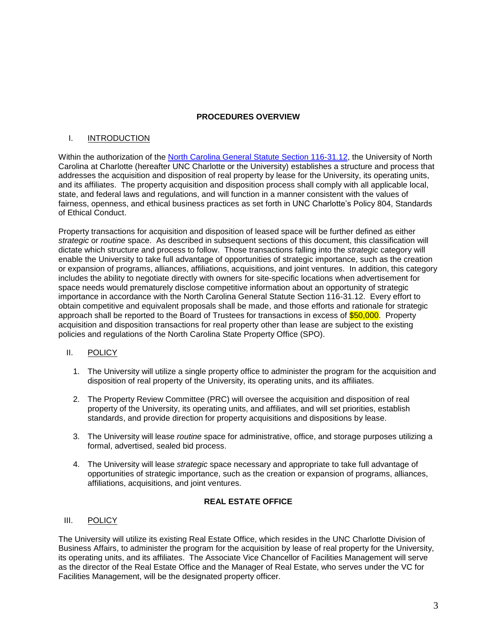## **PROCEDURES OVERVIEW**

## I. **INTRODUCTION**

Within the authorization of the [North Carolina General Statute Section 116-31.12,](http://www.ncga.state.nc.us/enactedlegislation/statutes/pdf/bysection/chapter_116/gs_116-31.12.pdf) the University of North Carolina at Charlotte (hereafter UNC Charlotte or the University) establishes a structure and process that addresses the acquisition and disposition of real property by lease for the University, its operating units, and its affiliates. The property acquisition and disposition process shall comply with all applicable local, state, and federal laws and regulations, and will function in a manner consistent with the values of fairness, openness, and ethical business practices as set forth in UNC Charlotte's Policy 804, Standards of Ethical Conduct.

Property transactions for acquisition and disposition of leased space will be further defined as either *strategic* or *routine* space. As described in subsequent sections of this document, this classification will dictate which structure and process to follow. Those transactions falling into the *strategic* category will enable the University to take full advantage of opportunities of strategic importance, such as the creation or expansion of programs, alliances, affiliations, acquisitions, and joint ventures. In addition, this category includes the ability to negotiate directly with owners for site-specific locations when advertisement for space needs would prematurely disclose competitive information about an opportunity of strategic importance in accordance with the North Carolina General Statute Section 116-31.12. Every effort to obtain competitive and equivalent proposals shall be made, and those efforts and rationale for strategic approach shall be reported to the Board of Trustees for transactions in excess of \$50,000. Property acquisition and disposition transactions for real property other than lease are subject to the existing policies and regulations of the North Carolina State Property Office (SPO).

## II. POLICY

- 1. The University will utilize a single property office to administer the program for the acquisition and disposition of real property of the University, its operating units, and its affiliates.
- 2. The Property Review Committee (PRC) will oversee the acquisition and disposition of real property of the University, its operating units, and affiliates, and will set priorities, establish standards, and provide direction for property acquisitions and dispositions by lease.
- 3. The University will lease *routine* space for administrative, office, and storage purposes utilizing a formal, advertised, sealed bid process.
- 4. The University will lease *strategic* space necessary and appropriate to take full advantage of opportunities of strategic importance, such as the creation or expansion of programs, alliances, affiliations, acquisitions, and joint ventures.

## **REAL ESTATE OFFICE**

## III. POLICY

The University will utilize its existing Real Estate Office, which resides in the UNC Charlotte Division of Business Affairs, to administer the program for the acquisition by lease of real property for the University, its operating units, and its affiliates. The Associate Vice Chancellor of Facilities Management will serve as the director of the Real Estate Office and the Manager of Real Estate, who serves under the VC for Facilities Management, will be the designated property officer.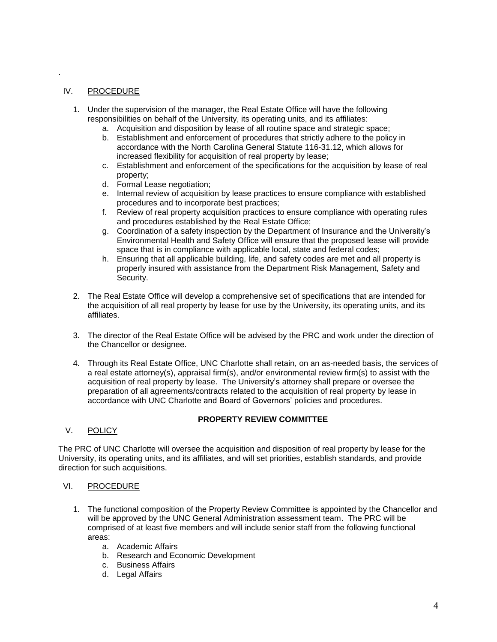## IV. PROCEDURE

.

- 1. Under the supervision of the manager, the Real Estate Office will have the following responsibilities on behalf of the University, its operating units, and its affiliates:
	- a. Acquisition and disposition by lease of all routine space and strategic space;
	- b. Establishment and enforcement of procedures that strictly adhere to the policy in accordance with the North Carolina General Statute 116-31.12, which allows for increased flexibility for acquisition of real property by lease;
	- c. Establishment and enforcement of the specifications for the acquisition by lease of real property;
	- d. Formal Lease negotiation;
	- e. Internal review of acquisition by lease practices to ensure compliance with established procedures and to incorporate best practices;
	- f. Review of real property acquisition practices to ensure compliance with operating rules and procedures established by the Real Estate Office;
	- g. Coordination of a safety inspection by the Department of Insurance and the University's Environmental Health and Safety Office will ensure that the proposed lease will provide space that is in compliance with applicable local, state and federal codes;
	- h. Ensuring that all applicable building, life, and safety codes are met and all property is properly insured with assistance from the Department Risk Management, Safety and Security.
- 2. The Real Estate Office will develop a comprehensive set of specifications that are intended for the acquisition of all real property by lease for use by the University, its operating units, and its affiliates.
- 3. The director of the Real Estate Office will be advised by the PRC and work under the direction of the Chancellor or designee.
- 4. Through its Real Estate Office, UNC Charlotte shall retain, on an as-needed basis, the services of a real estate attorney(s), appraisal firm(s), and/or environmental review firm(s) to assist with the acquisition of real property by lease. The University's attorney shall prepare or oversee the preparation of all agreements/contracts related to the acquisition of real property by lease in accordance with UNC Charlotte and Board of Governors' policies and procedures.

## **PROPERTY REVIEW COMMITTEE**

V. POLICY

The PRC of UNC Charlotte will oversee the acquisition and disposition of real property by lease for the University, its operating units, and its affiliates, and will set priorities, establish standards, and provide direction for such acquisitions.

#### VI. PROCEDURE

- 1. The functional composition of the Property Review Committee is appointed by the Chancellor and will be approved by the UNC General Administration assessment team. The PRC will be comprised of at least five members and will include senior staff from the following functional areas:
	- a. Academic Affairs
	- b. Research and Economic Development
	- c. Business Affairs
	- d. Legal Affairs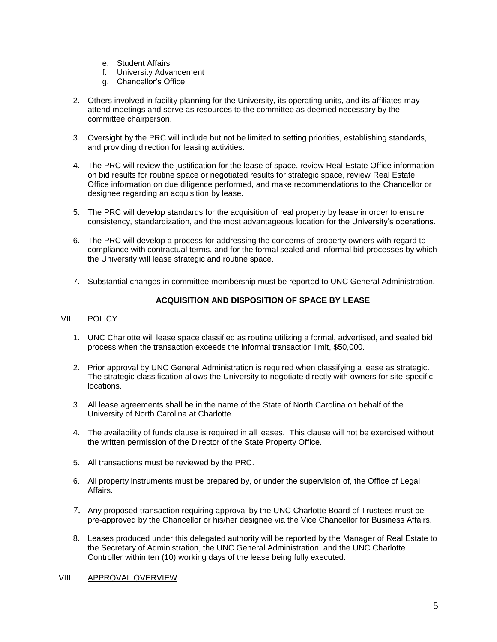- e. Student Affairs
- f. University Advancement
- g. Chancellor's Office
- 2. Others involved in facility planning for the University, its operating units, and its affiliates may attend meetings and serve as resources to the committee as deemed necessary by the committee chairperson.
- 3. Oversight by the PRC will include but not be limited to setting priorities, establishing standards, and providing direction for leasing activities.
- 4. The PRC will review the justification for the lease of space, review Real Estate Office information on bid results for routine space or negotiated results for strategic space, review Real Estate Office information on due diligence performed, and make recommendations to the Chancellor or designee regarding an acquisition by lease.
- 5. The PRC will develop standards for the acquisition of real property by lease in order to ensure consistency, standardization, and the most advantageous location for the University's operations.
- 6. The PRC will develop a process for addressing the concerns of property owners with regard to compliance with contractual terms, and for the formal sealed and informal bid processes by which the University will lease strategic and routine space.
- 7. Substantial changes in committee membership must be reported to UNC General Administration.

## **ACQUISITION AND DISPOSITION OF SPACE BY LEASE**

## VII. POLICY

- 1. UNC Charlotte will lease space classified as routine utilizing a formal, advertised, and sealed bid process when the transaction exceeds the informal transaction limit, \$50,000.
- 2. Prior approval by UNC General Administration is required when classifying a lease as strategic. The strategic classification allows the University to negotiate directly with owners for site-specific locations.
- 3. All lease agreements shall be in the name of the State of North Carolina on behalf of the University of North Carolina at Charlotte.
- 4. The availability of funds clause is required in all leases. This clause will not be exercised without the written permission of the Director of the State Property Office.
- 5. All transactions must be reviewed by the PRC.
- 6. All property instruments must be prepared by, or under the supervision of, the Office of Legal Affairs.
- 7. Any proposed transaction requiring approval by the UNC Charlotte Board of Trustees must be pre-approved by the Chancellor or his/her designee via the Vice Chancellor for Business Affairs.
- 8. Leases produced under this delegated authority will be reported by the Manager of Real Estate to the Secretary of Administration, the UNC General Administration, and the UNC Charlotte Controller within ten (10) working days of the lease being fully executed.

#### VIII. APPROVAL OVERVIEW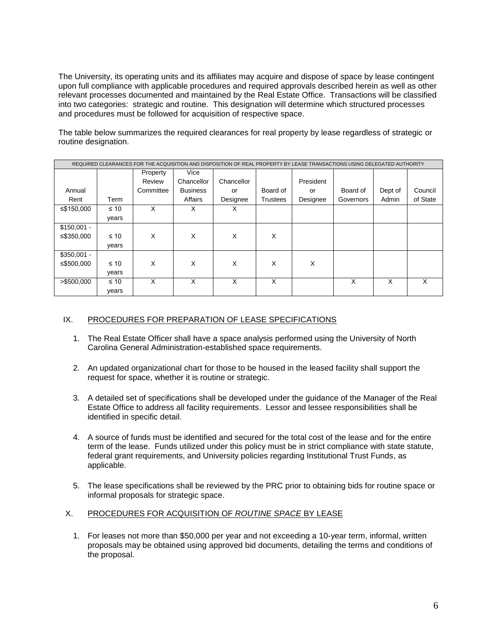The University, its operating units and its affiliates may acquire and dispose of space by lease contingent upon full compliance with applicable procedures and required approvals described herein as well as other relevant processes documented and maintained by the Real Estate Office. Transactions will be classified into two categories: strategic and routine. This designation will determine which structured processes and procedures must be followed for acquisition of respective space.

The table below summarizes the required clearances for real property by lease regardless of strategic or routine designation.

| REQUIRED CLEARANCES FOR THE ACQUISITION AND DISPOSITION OF REAL PROPERTY BY LEASE TRANSACTIONS USING DELEGATED AUTHORITY |           |           |                 |            |          |           |           |         |          |  |  |
|--------------------------------------------------------------------------------------------------------------------------|-----------|-----------|-----------------|------------|----------|-----------|-----------|---------|----------|--|--|
|                                                                                                                          |           | Property  | Vice            |            |          |           |           |         |          |  |  |
|                                                                                                                          |           | Review    | Chancellor      | Chancellor |          | President |           |         |          |  |  |
| Annual                                                                                                                   |           | Committee | <b>Business</b> | or         | Board of | or        | Board of  | Dept of | Council  |  |  |
| Rent                                                                                                                     | Term      |           | Affairs         | Designee   | Trustees | Designee  | Governors | Admin   | of State |  |  |
| ≤\$150,000                                                                                                               | $\leq 10$ | X         | X               | X          |          |           |           |         |          |  |  |
|                                                                                                                          | years     |           |                 |            |          |           |           |         |          |  |  |
| $$150,001 -$                                                                                                             |           |           |                 |            |          |           |           |         |          |  |  |
| ≤\$350,000                                                                                                               | $\leq 10$ | X         | X               | X          | X        |           |           |         |          |  |  |
|                                                                                                                          | years     |           |                 |            |          |           |           |         |          |  |  |
| $$350,001 -$                                                                                                             |           |           |                 |            |          |           |           |         |          |  |  |
| ≤\$500,000                                                                                                               | $\leq 10$ | X         | X               | X          | X        | X         |           |         |          |  |  |
|                                                                                                                          | years     |           |                 |            |          |           |           |         |          |  |  |
| > \$500,000                                                                                                              | $\leq 10$ | X         | X               | X          | X        |           | X         | X       | X        |  |  |
|                                                                                                                          | years     |           |                 |            |          |           |           |         |          |  |  |

## IX. PROCEDURES FOR PREPARATION OF LEASE SPECIFICATIONS

- 1. The Real Estate Officer shall have a space analysis performed using the University of North Carolina General Administration-established space requirements.
- 2. An updated organizational chart for those to be housed in the leased facility shall support the request for space, whether it is routine or strategic.
- 3. A detailed set of specifications shall be developed under the guidance of the Manager of the Real Estate Office to address all facility requirements. Lessor and lessee responsibilities shall be identified in specific detail.
- 4. A source of funds must be identified and secured for the total cost of the lease and for the entire term of the lease. Funds utilized under this policy must be in strict compliance with state statute, federal grant requirements, and University policies regarding Institutional Trust Funds, as applicable.
- 5. The lease specifications shall be reviewed by the PRC prior to obtaining bids for routine space or informal proposals for strategic space.

## X. PROCEDURES FOR ACQUISITION OF *ROUTINE SPACE* BY LEASE

1. For leases not more than \$50,000 per year and not exceeding a 10-year term, informal, written proposals may be obtained using approved bid documents, detailing the terms and conditions of the proposal.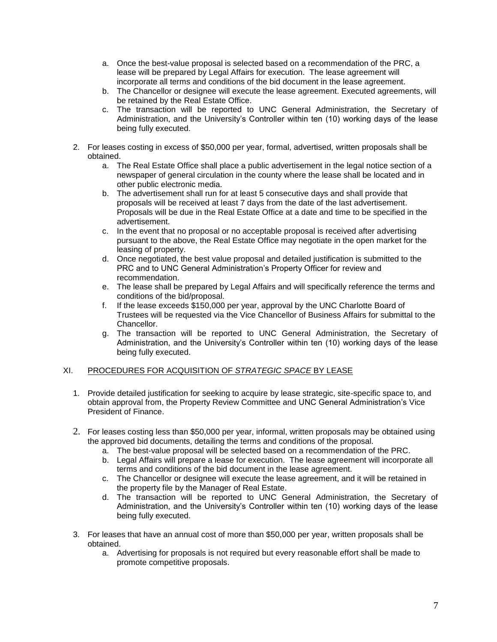- a. Once the best-value proposal is selected based on a recommendation of the PRC, a lease will be prepared by Legal Affairs for execution. The lease agreement will incorporate all terms and conditions of the bid document in the lease agreement.
- b. The Chancellor or designee will execute the lease agreement. Executed agreements, will be retained by the Real Estate Office.
- c. The transaction will be reported to UNC General Administration, the Secretary of Administration, and the University's Controller within ten (10) working days of the lease being fully executed.
- 2. For leases costing in excess of \$50,000 per year, formal, advertised, written proposals shall be obtained.
	- a. The Real Estate Office shall place a public advertisement in the legal notice section of a newspaper of general circulation in the county where the lease shall be located and in other public electronic media.
	- b. The advertisement shall run for at least 5 consecutive days and shall provide that proposals will be received at least 7 days from the date of the last advertisement. Proposals will be due in the Real Estate Office at a date and time to be specified in the advertisement.
	- c. In the event that no proposal or no acceptable proposal is received after advertising pursuant to the above, the Real Estate Office may negotiate in the open market for the leasing of property.
	- d. Once negotiated, the best value proposal and detailed justification is submitted to the PRC and to UNC General Administration's Property Officer for review and recommendation.
	- e. The lease shall be prepared by Legal Affairs and will specifically reference the terms and conditions of the bid/proposal.
	- f. If the lease exceeds \$150,000 per year, approval by the UNC Charlotte Board of Trustees will be requested via the Vice Chancellor of Business Affairs for submittal to the Chancellor.
	- g. The transaction will be reported to UNC General Administration, the Secretary of Administration, and the University's Controller within ten (10) working days of the lease being fully executed.

# XI. PROCEDURES FOR ACQUISITION OF *STRATEGIC SPACE* BY LEASE

- 1. Provide detailed justification for seeking to acquire by lease strategic, site-specific space to, and obtain approval from, the Property Review Committee and UNC General Administration's Vice President of Finance.
- 2. For leases costing less than \$50,000 per year, informal, written proposals may be obtained using the approved bid documents, detailing the terms and conditions of the proposal.
	- a. The best-value proposal will be selected based on a recommendation of the PRC.
	- b. Legal Affairs will prepare a lease for execution. The lease agreement will incorporate all terms and conditions of the bid document in the lease agreement.
	- c. The Chancellor or designee will execute the lease agreement, and it will be retained in the property file by the Manager of Real Estate.
	- d. The transaction will be reported to UNC General Administration, the Secretary of Administration, and the University's Controller within ten (10) working days of the lease being fully executed.
- 3. For leases that have an annual cost of more than \$50,000 per year, written proposals shall be obtained.
	- a. Advertising for proposals is not required but every reasonable effort shall be made to promote competitive proposals.